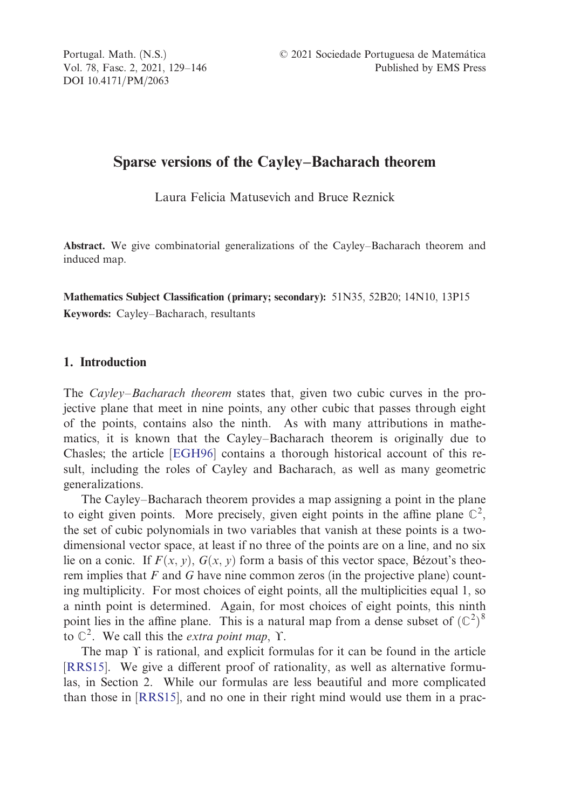DOI 10.4171/PM/2063

Portugal. Math. (N.S.) <sup>©</sup> 2021 Sociedade Portuguesa de Matemática Vol. 78, Fasc. 2, 2021, 129–146 Published by EMS Press

# Sparse versions of the Cayley–Bacharach theorem

Laura Felicia Matusevich and Bruce Reznick

Abstract. We give combinatorial generalizations of the Cayley–Bacharach theorem and induced map.

Mathematics Subject Classification (primary; secondary): 51N35, 52B20; 14N10, 13P15 Keywords: Cayley–Ba[charach, r](#page-16-0)esultants

### 1. Introduction

The *Cayley–Bacharach theorem* states that, given two cubic curves in the projective plane that meet in nine points, any other cubic that passes through eight of the points, contains also the ninth. As with many attributions in mathematics, it is known that the Cayley–Bacharach theorem is originally due to Chasles; the article [EGH96] contains a thorough historical account of this result, including the roles of Cayley and Bacharach, as well as many geometric generalizations.

The Cayley–Bacharach theorem provides a map assigning a point in the plane to eight given points. More precisely, given eight points in the affine plane  $\mathbb{C}^2$ , [the set o](#page-17-0)f cubic polynomials in two variables that vanish at these points is a twodimensional vector space, at least if no three of the points are on a line, and no six lie on a conic. [If](#page-17-0)  $F(x, y)$ ,  $G(x, y)$  form a basis of this vector space, Bézout's theorem implies that  $F$  and  $G$  have nine common zeros (in the projective plane) counting multiplicity. For most choices of eight points, all the multiplicities equal 1, so a ninth point is determined. Again, for most choices of eight points, this ninth point lies in the affine plane. This is a natural map from a dense subset of  $(\mathbb{C}^2)^8$ to  $\mathbb{C}^2$ . We call this the *extra point map*,  $\Upsilon$ .

The map  $\Upsilon$  is rational, and explicit formulas for it can be found in the article [RRS15]. We give a different proof of rationality, as well as alternative formulas, in Section 2. While our formulas are less beautiful and more complicated than those in [RRS15], and no one in their right mind would use them in a prac-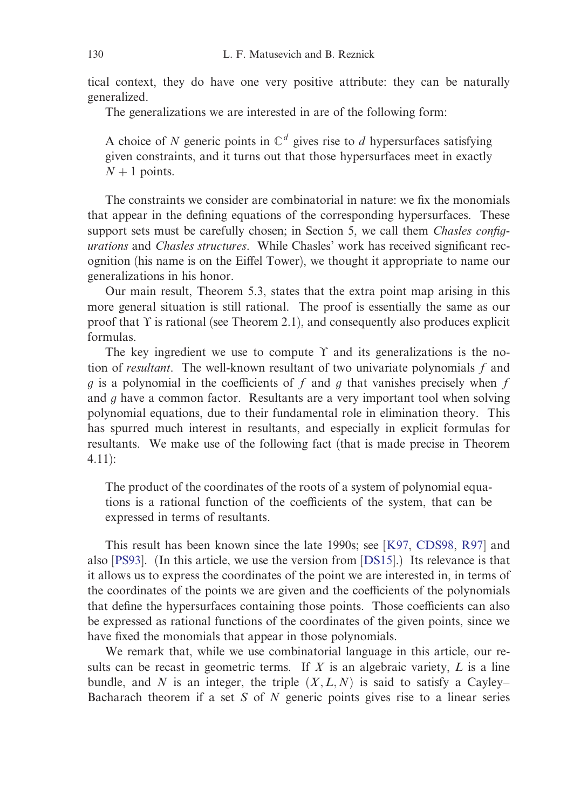tical context, they do have one very positive attribute: they can be naturally generalized.

The generalizations we are interested in are of the following form:

A choice of N generic points in  $\mathbb{C}^d$  gives rise to d hypersurfaces satisfying given constraints, and it turns out that those hypersurfaces meet in exactly  $N + 1$  points.

The constraints we consider are combinatorial in nature: we fix the monomials that appear in the defining equations of the corresponding hypersurfaces. These support sets must be carefully chosen; in Section 5, we call them *Chasles config*urations and Chasles structures. While Chasles' work has received significant recognition (his name is on the Eiffel Tower), we thought it appropriate to name our generalizations in his honor.

Our main result, Theorem 5.3, states that the extra point map arising in this more general situation is still rational. The proof is essentially the same as our proof that  $\Upsilon$  is rational (see Theorem 2.1), and consequently also produces explicit formulas.

The key ingredient we use to compute  $\Upsilon$  and its generalizations is the notion of resultant. The well-known resultant of two univariate polynomials f and g is a polynomial in the coefficients of f and g that vanishes precisely when f and  $q$  have a common factor. Resultants are a very important tool when solving polynomial equations, due to their fundamental role in e[limination the](#page-16-0)[ory.](#page-17-0) This has s[purre](#page-17-0)d much interest in resultants, and especi[ally in](#page-16-0) explicit formulas for resultants. We make use of the following fact (that is made precise in Theorem 4.11):

The product of the coordinates of the roots of a system of polynomial equations is a rational function of the coefficients of the system, that can be expressed in terms of resultants.

This result has been known since the late 1990s; see [K97, CDS98, R97] and also [PS93]. (In this article, we use the version from [DS15].) Its relevance is that it allows us to express the coordinates of the point we are interested in, in terms of the coordinates of the points we are given and the coefficients of the polynomials that define the hypersurfaces containing those points. Those coefficients can also be expressed as rational functions of the coordinates of the given points, since we have fixed the monomials that appear in those polynomials.

We remark that, while we use combinatorial language in this article, our results can be recast in geometric terms. If X is an algebraic variety,  $L$  is a line bundle, and N is an integer, the triple  $(X, L, N)$  is said to satisfy a Cayley– Bacharach theorem if a set  $S$  of  $N$  generic points gives rise to a linear series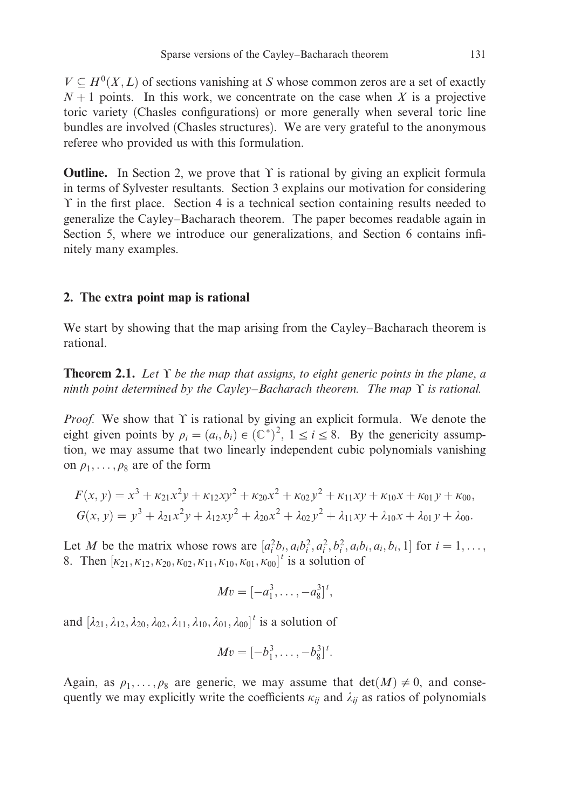$V \nsubseteq H^0(X, L)$  of sections vanishing at S whose common zeros are a set of exactly  $N+1$  points. In this work, we concentrate on the case when X is a projective toric variety (Chasles configurations) or more generally when several toric line bundles are involved (Chasles structures). We are very grateful to the anonymous referee who provided us with this formulation.

**Outline.** In Section 2, we prove that  $\Upsilon$  is rational by giving an explicit formula in terms of Sylvester resultants. Section 3 explains our motivation for considering 1 in the first place. Section 4 is a technical section containing results needed to generalize the Cayley–Bacharach theorem. The paper becomes readable again in Section 5, where we introduce our generalizations, and Section 6 contains infinitely many examples.

#### 2. The extra point map is rational

We start by showing that the map arising from the Cayley–Bacharach theorem is rational.

**Theorem 2.1.** Let  $\Upsilon$  be the map that assigns, to eight generic points in the plane, a ninth point determined by the Cayley–Bacharach theorem. The map  $\Upsilon$  is rational.

*Proof.* We show that  $\Upsilon$  is rational by giving an explicit formula. We denote the eight given points by  $\rho_i = (a_i, b_i) \in (\mathbb{C}^*)^2$ ,  $1 \le i \le 8$ . By the genericity assumption, we may assume that two linearly independent cubic polynomials vanishing on  $\rho_1, \ldots, \rho_8$  are of the form

$$
F(x, y) = x3 + \kappa_{21}x2y + \kappa_{12}xy2 + \kappa_{20}x2 + \kappa_{02}y2 + \kappa_{11}xy + \kappa_{10}x + \kappa_{01}y + \kappa_{00},
$$
  
\n
$$
G(x, y) = y3 + \lambda_{21}x2y + \lambda_{12}xy2 + \lambda_{20}x2 + \lambda_{02}y2 + \lambda_{11}xy + \lambda_{10}x + \lambda_{01}y + \lambda_{00}.
$$

Let M be the matrix whose rows are  $[a_i^2b_i, a_i b_i^2, a_i^2, b_i^2, a_i b_i, a_i, b_i, 1]$  for  $i = 1, \ldots,$ 8. Then  $[\kappa_{21}, \kappa_{12}, \kappa_{20}, \kappa_{02}, \kappa_{11}, \kappa_{10}, \kappa_{01}, \kappa_{00}]^t$  is a solution of

$$
Mv = [-a_1^3, \ldots, -a_8^3]^t,
$$

and  $\left[\lambda_{21}, \lambda_{12}, \lambda_{20}, \lambda_{02}, \lambda_{11}, \lambda_{10}, \lambda_{01}, \lambda_{00}\right]^t$  is a solution of

$$
Mv = [-b_1^3, \ldots, -b_8^3]^t.
$$

Again, as  $\rho_1, \ldots, \rho_8$  are generic, we may assume that  $\det(M) \neq 0$ , and consequently we may explicitly write the coefficients  $\kappa_{ij}$  and  $\lambda_{ij}$  as ratios of polynomials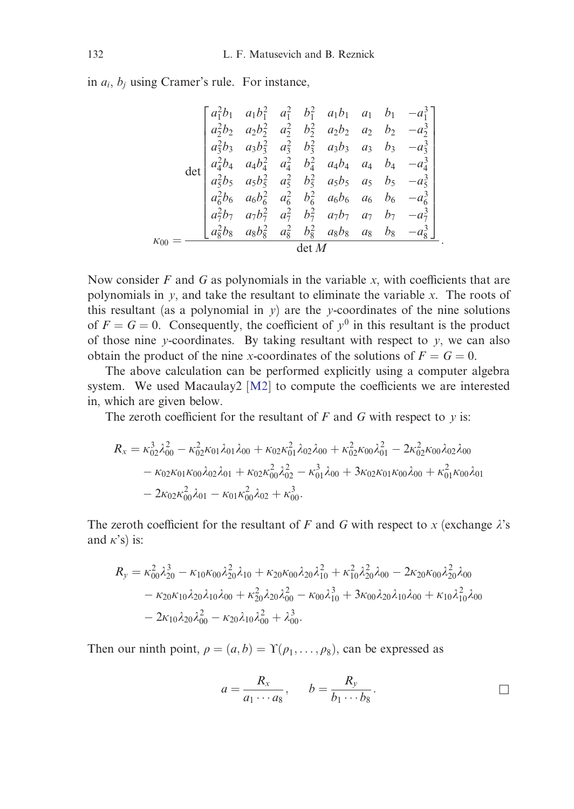in  $a_i$ ,  $b_j$  using Cramer's rule. For instance,

$$
\det\begin{bmatrix} a_1^2b_1 & a_1b_1^2 & a_1^2 & b_1^2 & a_1b_1 & a_1 & b_1 & -a_1^3\\ a_2^2b_2 & a_2b_2^2 & a_2^2 & b_2^2 & a_2b_2 & a_2 & b_2 & -a_2^3\\ a_3^2b_3 & a_3b_3^2 & a_3^2 & b_3^2 & a_3b_3 & a_3 & b_3 & -a_3^3\\ a_4^2b_4 & a_4b_4^2 & a_4^2 & b_4^2 & a_4b_4 & a_4 & b_4 & -a_4^3\\ a_5^2b_5 & a_5b_5^2 & a_5^2 & b_5^2 & a_5b_5 & a_5 & b_5 & -a_5^3\\ a_6^2b_6 & a_6b_6^2 & a_6^2 & b_6^2 & a_6b_6 & a_6 & b_6 & -a_6^3\\ a_7^2b_7 & a_7b_7^2 & a_7^2 & b_7^2 & a_7b_7 & a_7 & b_7 & -a_7^3\\ a_8^2b_8 & a_8b_8^2 & a_8^2 & b_8^2 & a_8b_8 & a_8 & b_8 & -a_8^3\end{bmatrix}.
$$

Now consider  $F$  and  $G$  as polynomials in the variable  $x$ , with coefficients that are polynomials in  $y$ , and take the resultant to eliminate the variable  $x$ . The roots of this resultant (as a polynomial in  $y$ ) are the y-coordinates of the nine solutions of  $F = G = 0$ . Consequently, the coefficient of  $y<sup>0</sup>$  in this resultant is the product of those nine y-coordinates. By taking resultant with respect to  $y$ , we can also obtain the product of the nine x-coordinates of the solutions of  $F = G = 0$ .

The above calculation can be performed explicitly using a computer algebra system. We used Macaulay2  $[M2]$  to compute the coefficients we are interested in, which are given below.

The zeroth coefficient for the resultant of  $F$  and  $G$  with respect to  $y$  is:

$$
R_x = \kappa_{02}^3 \lambda_{00}^2 - \kappa_{02}^2 \kappa_{01} \lambda_{01} \lambda_{00} + \kappa_{02} \kappa_{01}^2 \lambda_{02} \lambda_{00} + \kappa_{02}^2 \kappa_{00} \lambda_{01}^2 - 2 \kappa_{02}^2 \kappa_{00} \lambda_{02} \lambda_{00} - \kappa_{02} \kappa_{01} \kappa_{00} \lambda_{02} \lambda_{01} + \kappa_{02} \kappa_{02}^2 \lambda_{02}^2 - \kappa_{01}^3 \lambda_{00} + 3 \kappa_{02} \kappa_{01} \kappa_{00} \lambda_{00} + \kappa_{01}^2 \kappa_{00} \lambda_{01} - 2 \kappa_{02} \kappa_{02}^2 \lambda_{01} - \kappa_{01} \kappa_{02}^2 \lambda_{02} + \kappa_{00}^3.
$$

The zeroth coefficient for the resultant of F and G with respect to x (exchange  $\lambda$ 's and  $\kappa$ 's) is:

$$
R_y = \kappa_{00}^2 \lambda_{20}^3 - \kappa_{10} \kappa_{00} \lambda_{20}^2 \lambda_{10} + \kappa_{20} \kappa_{00} \lambda_{20} \lambda_{10}^2 + \kappa_{10}^2 \lambda_{20}^2 \lambda_{00} - 2\kappa_{20} \kappa_{00} \lambda_{20}^2 \lambda_{00} - \kappa_{20} \kappa_{10} \lambda_{20} \lambda_{10} \lambda_{00} + \kappa_{20}^2 \lambda_{20} \lambda_{00}^2 - \kappa_{00} \lambda_{10}^3 + 3\kappa_{00} \lambda_{20} \lambda_{10} \lambda_{00} + \kappa_{10} \lambda_{10}^2 \lambda_{00} - 2\kappa_{10} \lambda_{20} \lambda_{00}^2 - \kappa_{20} \lambda_{10} \lambda_{00}^2 + \lambda_{00}^3.
$$

Then our ninth point,  $\rho = (a, b) = \Upsilon(\rho_1, \ldots, \rho_8)$ , can be expressed as

$$
a = \frac{R_x}{a_1 \cdots a_8}, \qquad b = \frac{R_y}{b_1 \cdots b_8}.
$$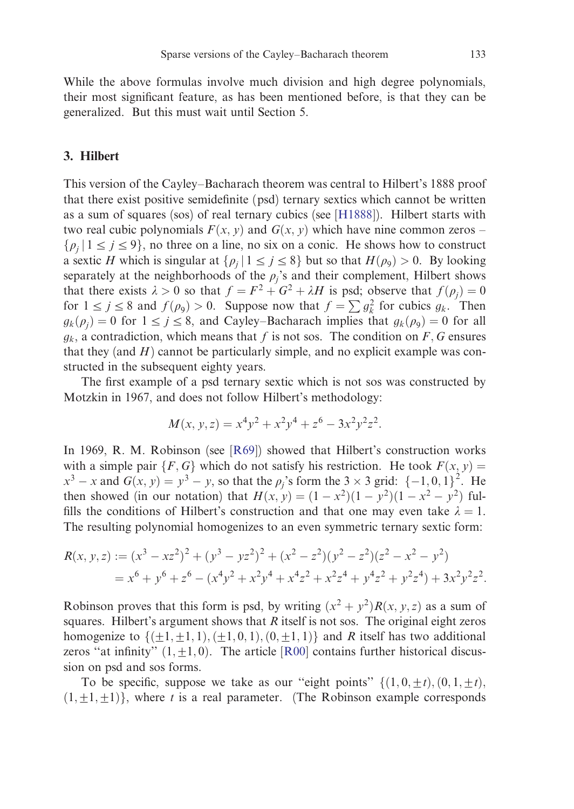While the above formulas involve much division a[nd high](#page-16-0) degree polynomials, their most significant feature, as has been mentioned before, is that they can be generalized. But this must wait until Section 5.

# 3. Hilbert

This version of the Cayley–Bacharach theorem was central to Hilbert's 1888 proof that there exist positive semidefinite (psd) ternary sextics which cannot be written as a sum of squares (sos) of real ternary cubics (see [H1888]). Hilbert starts with two real cubic polynomials  $F(x, y)$  and  $G(x, y)$  which have nine common zeros –  $\{\rho_i | 1 \le j \le 9\}$ , no three on a line, no six on a conic. He shows how to construct a sextic H which is singular at  $\{\rho_i | 1 \leq j \leq 8\}$  but so that  $H(\rho_9) > 0$ . By looking separately at the neighborhoods of the  $\rho_i$ 's and their complement, Hilbert shows that there exists  $\lambda > 0$  so that  $f = F^2 + G^2 + \lambda H$  is psd; observe that  $f(\rho_i) = 0$ for  $1 \le j \le 8$  and  $f(\rho_9) > 0$ . Suppose now that  $f = \sum g_k^2$  for cubics  $g_k$ . Then  $g_k(\rho_i) = 0$  for  $1 \leq j \leq 8$ , and C[ayley](#page-17-0)–Bacharach implies that  $g_k(\rho_9) = 0$  for all  $g_k$ , a contradiction, which means that f is not sos. The condition on F, G ensures that they (and  $H$ ) cannot be particularly simple, and no explicit example was constructed in the subsequent eighty years.

The first example of a psd ternary sextic which is not sos was constructed by Motzkin in 1967, and does not follow Hilbert's methodology:

$$
M(x, y, z) = x4y2 + x2y4 + z6 - 3x2y2z2.
$$

In 1969, R. M. Robinson (see [R69]) showed that Hilbert's construction works with a simple pair  $\{F, G\}$  which do not satisfy his restriction. He took  $F(x, y) =$  $x^3 - x$  and  $G(x, y) = y^3 - y$ , so that the  $\rho_j$ 's form the 3 × 3 grid:  $\{-1, 0, 1\}^2$ . He then showed (in our notation) that  $H(x, y) = (1 - x^2)(1 - y^2)(1 - x^2 - y^2)$  fulfills the conditions of Hilbert's constructi[on an](#page-17-0)d that one may even take  $\lambda = 1$ . The resulting polynomial homogenizes to an even symmetric ternary sextic form:

$$
R(x, y, z) := (x3 - xz2)2 + (y3 - yz2)2 + (x2 - z2)(y2 - z2)(z2 - x2 - y2)
$$
  
= x<sup>6</sup> + y<sup>6</sup> + z<sup>6</sup> - (x<sup>4</sup>y<sup>2</sup> + x<sup>2</sup>y<sup>4</sup> + x<sup>4</sup>z<sup>2</sup> + x<sup>2</sup>z<sup>4</sup> + y<sup>4</sup>z<sup>2</sup> + y<sup>2</sup>z<sup>4</sup>) + 3x<sup>2</sup>y<sup>2</sup>z<sup>2</sup>.

Robinson proves that this form is psd, by writing  $(x^2 + y^2)R(x, y, z)$  as a sum of squares. Hilbert's argument shows that R itself is not sos. The original eight zeros homogenize to  $\{(\pm 1, \pm 1, 1), (\pm 1, 0, 1), (0, \pm 1, 1)\}$  and R itself has two additional zeros "at infinity"  $(1, \pm 1, 0)$ . The article [R00] contains further historical discussion on psd and sos forms.

To be specific, suppose we take as our "eight points"  $\{(1,0,\pm t), (0,1,\pm t),$  $(1, \pm 1, \pm 1)$ }, where t is a real parameter. (The Robinson example corresponds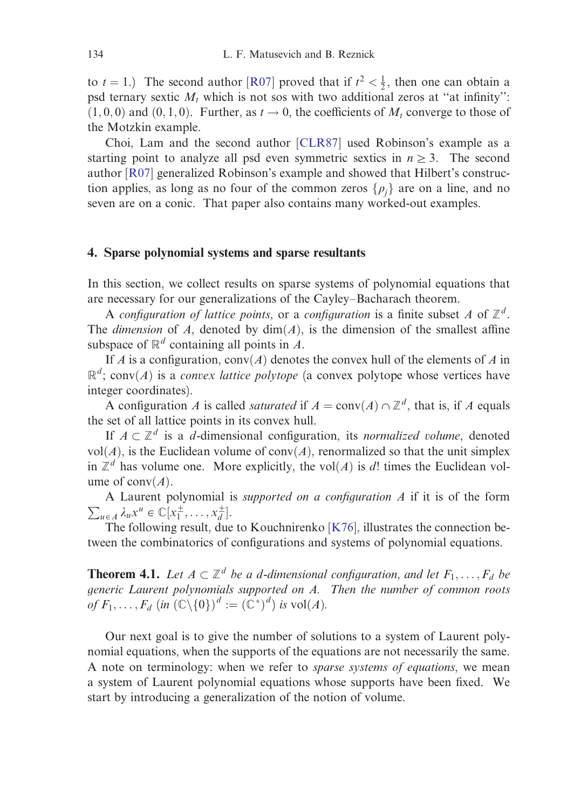to  $t = 1$ .) The second author [R07] proved that if  $t^2 < \frac{1}{2}$ , then one can obtain a psd ternary sextic  $M_t$  which is not sos with two additional zeros at "at infinity":  $(1, 0, 0)$  and  $(0, 1, 0)$ . Further, as  $t \to 0$ , the coefficients of  $M_t$  converge to those of the Motzkin example.

Choi, Lam and the second author [CLR87] used Robinson's example as a starting point to analyze all psd even symmetric sextics in  $n \geq 3$ . The second author [R07] generalized Robinson's example and showed that Hilbert's construction applies, as long as no four of the common zeros  $\{\rho_i\}$  are on a line, and no seven are on a conic. That paper also contains many worked-out examples.

# 4. Sparse polynomial systems and sparse resultants

In this section, we collect results on sparse systems of polynomial equations that are necessary for our generalizations of the Cayley–Bacharach theorem.

A configuration of lattice points, or a configuration is a finite subset A of  $\mathbb{Z}^d$ . The dimension of A, denoted by  $\dim(A)$ , is the dimension of the smallest affine subspace of  $\mathbb{R}^d$  containing all points in A.

If A is a configuration,  $conv(A)$  denotes the convex hull of the elements of A in  $\mathbb{R}^d$ ; conv(A) is a *convex lattice polytope* (a convex polytope whose vertices have integer coordinates).

A [con](#page-16-0)figuration A is called *saturated* if  $A = \text{conv}(A) \cap \mathbb{Z}^d$ , that is, if A equals the set of all lattice points in its convex hull.

If  $A \subset \mathbb{Z}^d$  is a d-dimensional configuration, its normalized volume, denoted vol $(A)$ , is the Euclidean volume of conv $(A)$ , renormalized so that the unit simplex in  $\mathbb{Z}^d$  has volume one. More explicitly, the vol $(A)$  is d! times the Euclidean volume of  $\text{conv}(A)$ .

 $\sum_{u \in A} \lambda_u x^u \in \mathbb{C}[x_1^{\pm}, \ldots, x_d^{\pm}].$ A Laurent polynomial is supported on a configuration A if it is of the form

The following result, due to Kouchnirenko  $[K76]$ , illustrates the connection between the combinatorics of configurations and systems of polynomial equations.

**Theorem 4.1.** Let  $A \subset \mathbb{Z}^d$  be a d-dimensional configuration, and let  $F_1, \ldots, F_d$  be generic Laurent polynomials supported on A. Then the number of common roots of  $F_1, \ldots, F_d$   $(in (\mathbb{C} \setminus \{0\})^d := (\mathbb{C}^*)^d)$  is  $vol(A)$ .

Our next goal is to give the number of solutions to a system of Laurent polynomial equations, when the supports of the equations are not necessarily the same. A note on terminology: when we refer to *sparse systems of equations*, we mean a system of Laurent polynomial equations whose supports have been fixed. We start by introducing a generalization of the notion of volume.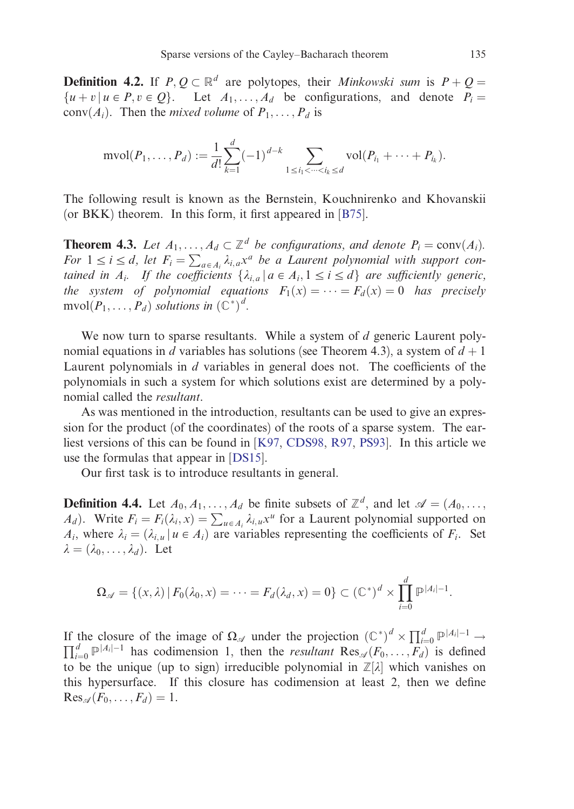**Definition 4.2.** If  $P, Q \subset \mathbb{R}^d$  are polytopes, their *[Mink](#page-16-0)owski sum* is  $P + Q =$  $\{u + v \mid u \in P, v \in Q\}$ . Let  $A_1, \ldots, A_d$  be configurations, and denote  $P_i =$ conv $(A_i)$ . Then the *mixed volume* of  $P_1, \ldots, P_d$  is

$$
\text{mvol}(P_1,\ldots,P_d) := \frac{1}{d!} \sum_{k=1}^d (-1)^{d-k} \sum_{1 \le i_1 < \cdots < i_k \le d} \text{vol}(P_{i_1} + \cdots + P_{i_k}).
$$

The following result is known as the Bernstein, Kouchnirenko and Khovanskii (or BKK) theorem. In this form, it first appeared in [B75].

**Theorem 4.3.** Let  $A_1, \ldots, A_d \subset \mathbb{Z}^d$  be configurations, and denote  $P_i = \text{conv}(A_i)$ . For  $1 \le i \le d$ , let  $F_i = \sum_{a \in A_i} \lambda_{i,a} x^a$  be a Laurent polynomial with support contained in  $A_i$ . If the coefficients  $\{\lambda_{i,a} | a \in A_i, 1 \leq i \leq d\}$  are sufficiently generic, the system of polynomial equations  $F_1(x) = \cdots = F_d(x) = 0$  has precisely  $mvol(P_1,\ldots,P_d)$  solutions in  $(\mathbb{C}^*)^d$ .

We now turn to sparse resul[tants.](#page-16-0) While a system of  $d$  generic Laurent polynomial equations in d variables has solutions (see Theorem 4.3), a system of  $d + 1$ Laurent polynomials in  $d$  variables in general does not. The coefficients of the polynomials in such a system for which solutions exist are determined by a polynomial called the resultant.

As was mentioned in the introduction, resultants can be used to give an expression for the product (of the coordinates) of the roots of a sparse system. The earliest versions of this can be found in [K97, CDS98, R97, PS93]. In this article we use the formulas that appear in [DS15].

Our first task is to introduce resultants in general.

**Definition 4.4.** Let  $A_0, A_1, \ldots, A_d$  be finite subsets of  $\mathbb{Z}^d$ , and let  $\mathcal{A} = (A_0, \ldots, A_d)$  $A_d$ ). Write  $F_i = F_i(\lambda_i, x) = \sum_{u \in A_i} \lambda_{i,u} x^u$  for a Laurent polynomial supported on  $A_i$ , where  $\lambda_i = (\lambda_{i,u} | u \in A_i)$  are variables representing the coefficients of  $F_i$ . Set  $\lambda = (\lambda_0, \ldots, \lambda_d)$ . Let

$$
\Omega_{\mathscr{A}} = \{ (x, \lambda) \, | \, F_0(\lambda_0, x) = \dots = F_d(\lambda_d, x) = 0 \} \subset (\mathbb{C}^*)^d \times \prod_{i=0}^d \mathbb{P}^{|A_i|-1}.
$$

If the closure of the image of  $\Omega_{\mathscr{A}}$  under the projection  $(\mathbb{C}^*)^d \times \prod_{i=0}^d \mathbb{P}^{|A_i|-1} \to$  $\sum_{i=0}^d \mathbb{P}^{|A_i|-1}$  has codimension 1, then the *resultant*  $\text{Res}_{\mathscr{A}}(F_0,\ldots,F_d)$  is defined to be the unique (up to sign) irreducible polynomial in  $\mathbb{Z}[\lambda]$  which vanishes on this hypersurface. If this closure has codimension at least 2, then we define  $Res_{\mathscr{A}}(F_0,\ldots,F_d)=1.$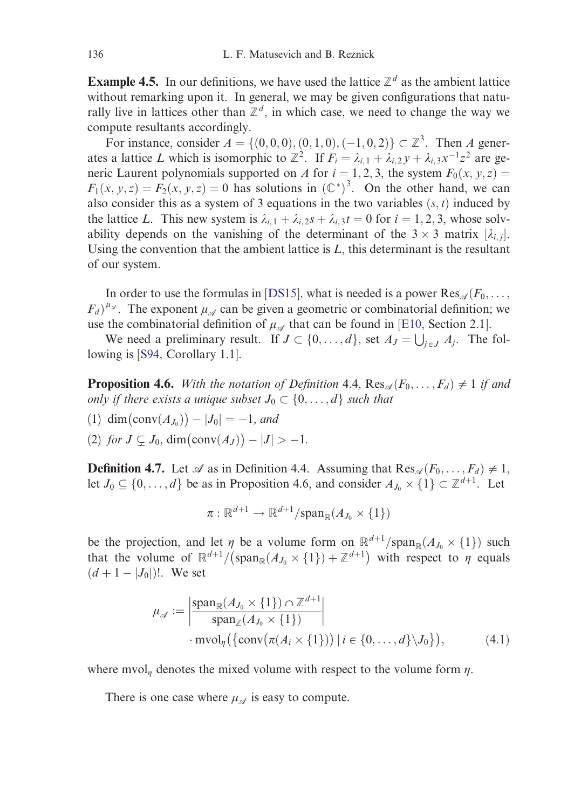**Example 4.5.** In our definitions, we have used the lattice  $\mathbb{Z}^d$  as the ambient lattice without remarking upon it. In general, we may be given configurations that naturally live in lattices other than  $\mathbb{Z}^d$ , in which case, we need to change the way we compute resultants accordingly.

For instance, consider  $A = \{(0,0,0), (0,1,0), (-1,0,2)\}\subset \mathbb{Z}^3$ . Then A generates a lattice L which is isomorphi[c to](#page-16-0)  $\mathbb{Z}^2$ . If  $F_i = \lambda_{i,1} + \lambda_{i,2} y + \lambda_{i,3} x^{-1} z^2$  are generic Laurent polynomials supported on A for  $i = 1, 2, 3$ , the system  $F_0(x, y, z) =$  $F_1(x, y, z) = F_2(x, y, z) = 0$  has solutions in  $(\mathbb{C}^*)^3$ . On th[e oth](#page-16-0)er hand, we can also consider this as a system of 3 equations in the two variables  $(s, t)$  induced by the lattice L[.](#page-17-0) This new system is  $\lambda_{i,1} + \lambda_{i,2} s + \lambda_{i,3} t = 0$  for  $i = 1, 2, 3$ , whose solvability depends on the vanishing of the determinant of the  $3 \times 3$  matrix  $[\lambda_{i,j}]$ . Using the convention that the ambient lattice is  $L$ , this determinant is the resultant of our system.

In order to use the formulas in [DS15], what is needed is a power  $\text{Res}_{\mathscr{A}}(F_0, \ldots, F_n)$  $(F_d)^{\mu_{\mathscr{A}}}$ . The exponent  $\mu_{\mathscr{A}}$  can be given a geometric or combinatorial definition; we use the combinatorial definition of  $\mu_{\mathcal{A}}$  that can be found in [E10, Section 2.1].

We need a preliminary result. If  $J \subset \{0, \ldots, d\}$ , set  $A_J = \bigcup_{j \in J} A_j$ . The following is [S94, Corollary 1.1].

**Proposition 4.6.** With the notation of Definition 4.4,  $\text{Res}_{\mathscr{A}}(F_0, \ldots, F_d) \neq 1$  if and only if there exists a unique subset  $J_0 \subset \{0, \ldots, d\}$  such that

- (1) dim  $(\text{conv}(A_{J_0})) |J_0| = -1$ , and
- (2) for  $J \subsetneq J_0$ , dim $(\text{conv}(A_J)) |J| > -1$ .

**Definition 4.7.** Let  $\mathscr A$  as in Definition 4.4. Assuming that  $\text{Res}_{\mathscr A}(F_0,\ldots,F_d) \neq 1$ , let  $J_0 \subseteq \{0, \ldots, d\}$  be as in Proposition 4.6, and consider  $A_{J_0} \times \{1\} \subset \mathbb{Z}^{d+1}$ . Let

$$
\pi: \mathbb{R}^{d+1} \to \mathbb{R}^{d+1}/\mathrm{span}_{\mathbb{R}}(A_{J_0} \times \{1\})
$$

be the projection, and let  $\eta$  be a volume form on  $\mathbb{R}^{d+1}/\text{span}_{\mathbb{R}}(\mathcal{A}_{J_0}\times\{1\})$  such that the volume of  $\mathbb{R}^{d+1}/(\text{span}_{\mathbb{R}}(\Lambda_{J_0} \times \{1\}) + \mathbb{Z}^{d+1})$  with respect to  $\eta$  equals  $(d + 1 - |J_0|)!$ . We set

$$
\mu_{\mathscr{A}} := \left| \frac{\operatorname{span}_{\mathbb{R}}(A_{J_0} \times \{1\}) \cap \mathbb{Z}^{d+1}}{\operatorname{span}_{\mathbb{Z}}(A_{J_0} \times \{1\})} \right|
$$
  
\n
$$
\cdot \operatorname{mvol}_{\eta}(\{\operatorname{conv}(\pi(A_i \times \{1\})) \mid i \in \{0, ..., d\} \setminus J_0\}),
$$
\n(4.1)

where mvol<sub>n</sub> denotes the mixed volume with respect to the volume form  $\eta$ .

There is one case where  $\mu_{\mathscr{A}}$  is easy to compute.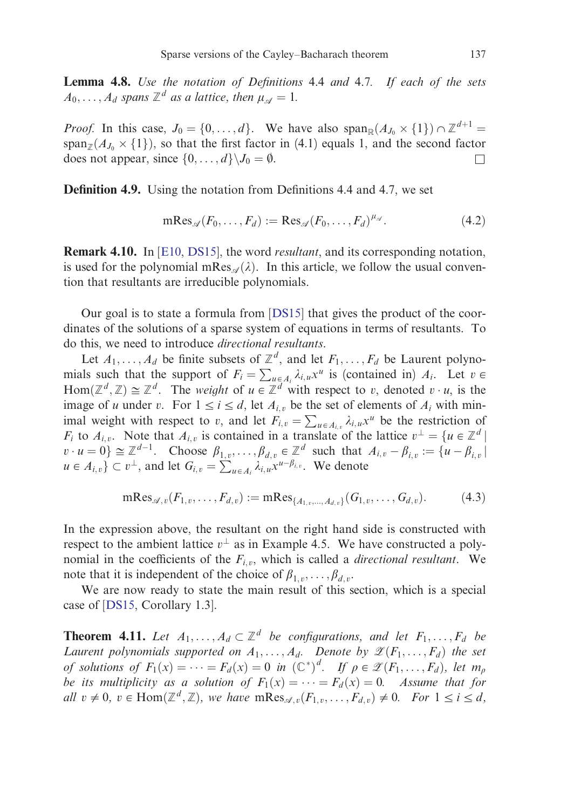Lemma 4.8. Use the notation of Definitions 4.4 and 4.7. If each of the sets  $A_0, \ldots, A_d$  spans  $\mathbb{Z}^d$  as a lattice, then  $\mu_{\mathscr{A}} = 1$ .

*Proo[f](#page-16-0).* In this case,  $J_0 = \{0, \ldots, d\}$  $J_0 = \{0, \ldots, d\}$ . We have also span<sub>R</sub> $(A_{J_0} \times \{1\}) \cap \mathbb{Z}^{d+1}$  $\text{span}_{\mathbb{Z}}(A_{J_0} \times \{1\})$ , so that the first factor in (4.1) equals 1, and the second factor does not appear, since  $\{0, \ldots, d\} \setminus J_0 = \emptyset$ .

Definition 4.9. Using the notation fro[m](#page-16-0) [Defin](#page-16-0)itions 4.4 and 4.7, we set

$$
\mathrm{mRes}_{\mathscr{A}}(F_0,\ldots,F_d) := \mathrm{Res}_{\mathscr{A}}(F_0,\ldots,F_d)^{\mu_{\mathscr{A}}}.
$$
 (4.2)

**Remark 4.10.** In [E10, DS15], the word *resultant*, and its corresponding notation, is used for the polynomial mRes<sub> $\mathcal{A}(\lambda)$ </sub>. In this article, we follow the usual convention that resultants are irreducible polynomials.

Our goal is to state a formula from [DS15] that gives the product of the coordinates of the solutions of a sparse system of equations in terms of resultants. To do this, we need to introduce directional resultants.

Let  $A_1, \ldots, A_d$  be finite subsets of  $\mathbb{Z}^d$ , and let  $F_1, \ldots, F_d$  be Laurent polynomials such that the support of  $F_i = \sum_{u \in A_i} \lambda_{i,u} x^u$  is (contained in)  $A_i$ . Let  $v \in$ Hom $(\mathbb{Z}^d, \mathbb{Z}) \cong \mathbb{Z}^d$ . The *weight* of  $u \in \mathbb{Z}^d$  with respect to v, denoted  $v \cdot u$ , is the image of u under v. For  $1 \le i \le d$ , let  $A_{i,v}$  be the set of elements of  $A_i$  with minimage of a under order  $\sum_{i=1}^{n} u_i$ , i.e.  $\sum_{i,j} u_j v_i = \sum_{u \in A_{i,v}} \lambda_{i,u} x^u$  be the restriction of  $F_i$  to  $A_{i,v}$ . Note that  $A_{i,v}$  is contained in a translate of the lattice  $v^{\perp} = \{u \in \mathbb{Z}^d \mid \mathcal{E}^d\}$  $v \cdot u = 0$ }  $\cong \mathbb{Z}^{d-1}$ . Choose  $\beta_{1,v}, \ldots, \beta_{d,v} \in \mathbb{Z}^d$  such that  $A_{i,v} - \beta_{i,v} := \{u - \beta_{i,v}\}\$  $u \in A_{i, v}$   $\subset v^{\perp}$ , and let  $G_{i, v} = \sum_{u \in A_i} \lambda_{i, u} x^{u - \beta_{i, v}}$ . We denote

$$
\mathrm{mRes}_{\mathscr{A},v}(F_{1,v},\ldots,F_{d,v}) := \mathrm{mRes}_{\{A_{1,v},\ldots,A_{d,v}\}}(G_{1,v},\ldots,G_{d,v}).\tag{4.3}
$$

In the expression above, the resultant on the right hand side is constructed with respect to the ambient lattice  $v^{\perp}$  as in Example 4.5. We have constructed a polynomial in the coefficients of the  $F_{i,v}$ , which is called a *directional resultant*. We note that it is independent of the choice of  $\beta_{1,v}, \ldots, \beta_{d,v}$ .

We are now ready to state the main result of this section, which is a special case of [DS15, Corollary 1.3].

**Theorem 4.11.** Let  $A_1, \ldots, A_d \subset \mathbb{Z}^d$  be configurations, and let  $F_1, \ldots, F_d$  be Laurent polynomials supported on  $A_1, \ldots, A_d$ . Denote by  $\mathscr{L}(F_1, \ldots, F_d)$  the set of solutions of  $F_1(x) = \cdots = F_d(x) = 0$  in  $(\mathbb{C}^*)^d$ . If  $\rho \in \mathscr{Z}(F_1, \ldots, F_d)$ , let  $m_\rho$ be its multiplicity as a solution of  $F_1(x) = \cdots = F_d(x) = 0$ . Assume that for all  $v \neq 0$ ,  $v \in \text{Hom}(\mathbb{Z}^d, \mathbb{Z})$ , we have  $m\text{Res}_{\mathscr{A}, v}(F_{1,v}, \ldots, F_{d,v}) \neq 0$ . For  $1 \leq i \leq d$ ,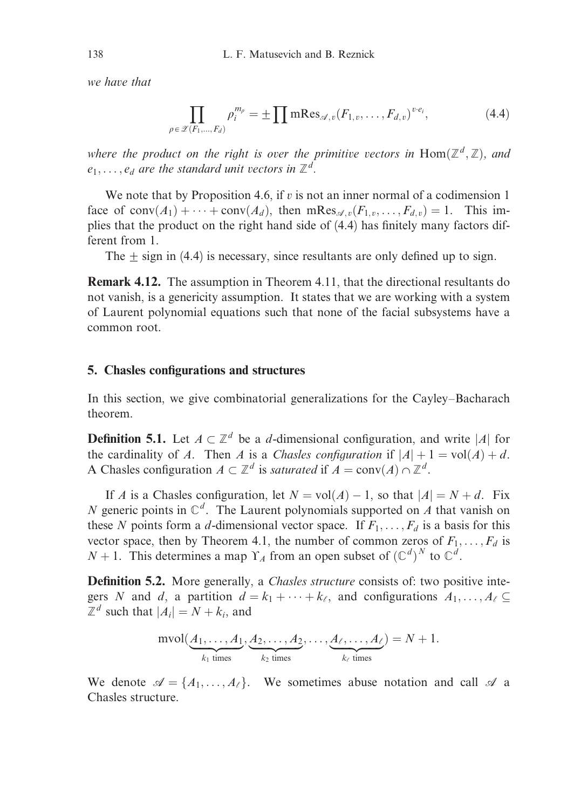we have that

$$
\prod_{\rho \in \mathscr{Z}(F_1,\ldots,F_d)} \rho_i^{m_\rho} = \pm \prod m \text{Res}_{\mathscr{A},v} (F_{1,v},\ldots,F_{d,v})^{v \cdot e_i},\tag{4.4}
$$

where the product on the right is over the primitive vectors in  $\text{Hom}(\mathbb{Z}^d, \mathbb{Z})$ , and  $e_1, \ldots, e_d$  are the standard unit vectors in  $\mathbb{Z}^d$ .

We note that by Proposition 4.6, if  $v$  is not an inner normal of a codimension 1 face of conv $(A_1) + \cdots + \text{conv}(A_d)$ , then mRes<sub> $\mathscr{A}, v(F_{1,v}, \ldots, F_{d,v}) = 1$ . This im-</sub> plies that the product on the right hand side of (4.4) has finitely many factors different from 1.

The  $\pm$  sign in (4.4) is necessary, since resultants are only defined up to sign.

Remark 4.12. The assumption in Theorem 4.11, that the directional resultants do not vanish, is a genericity assumption. It states that we are working with a system of Laurent polynomial equations such that none of the facial subsystems have a common root.

### 5. Chasles configurations and structures

In this section, we give combinatorial generalizations for the Cayley–Bacharach theorem.

**Definition 5.1.** Let  $A \subset \mathbb{Z}^d$  be a *d*-dimensional configuration, and write |A| for the cardinality of A. Then A is a Chasles configuration if  $|A| + 1 = vol(A) + d$ . A Chasles configuration  $A \subset \mathbb{Z}^d$  is saturated if  $A = \text{conv}(A) \cap \mathbb{Z}^d$ .

If A is a Chasles configuration, let  $N = vol(A) - 1$ , so that  $|A| = N + d$ . Fix N generic points in  $\mathbb{C}^d$ . The Laurent polynomials supported on A that vanish on these N points form a d-dimensional vector space. If  $F_1, \ldots, F_d$  is a basis for this vector space, then by Theorem 4.1, the number of common zeros of  $F_1, \ldots, F_d$  is  $N + 1$ . This determines a map  $\Upsilon_A$  from an open subset of  $(\mathbb{C}^d)^N$  to  $\mathbb{C}^d$ .

Definition 5.2. More generally, a *Chasles structure* consists of: two positive integers N and d, a partition  $d = k_1 + \cdots + k_\ell$ , and configurations  $A_1, \ldots, A_\ell \subseteq$  $\mathbb{Z}^d$  such that  $|A_i| = N + k_i$ , and

$$
\text{mvol}(\underbrace{A_1,\ldots,A_1}_{k_1 \text{ times}},\underbrace{A_2,\ldots,A_2}_{k_2 \text{ times}},\ldots,\underbrace{A_\ell,\ldots,A_\ell}_{k_\ell \text{ times}})=N+1.
$$

We denote  $\mathscr{A} = \{A_1, \ldots, A_\ell\}$ . We sometimes abuse notation and call  $\mathscr{A}$  a Chasles structure.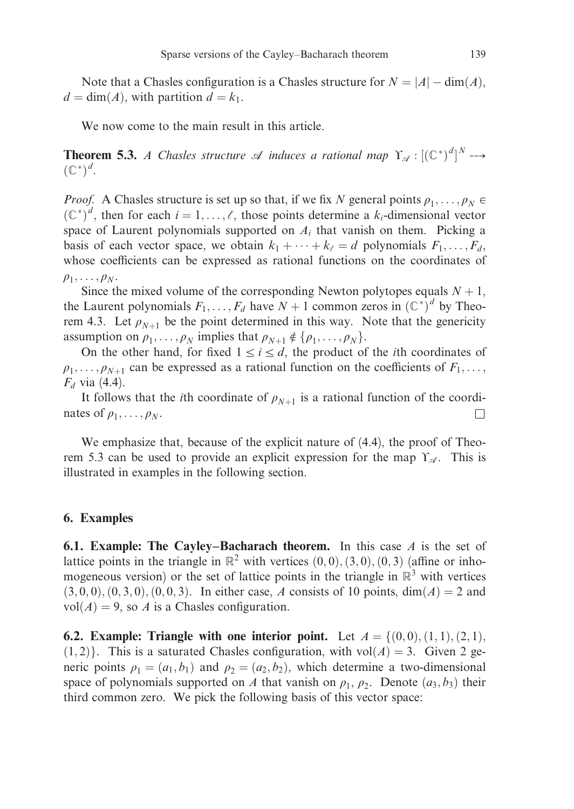Note that a Chasles configuration is a Chasles structure for  $N = |A| - \dim(A)$ ,  $d = \dim(A)$ , with partition  $d = k_1$ .

We now come to the main result in this article.

**Theorem 5.3.** A Chasles structure  $\mathscr A$  induces a rational map  $\Upsilon_{\mathscr A} : [(\mathbb{C}^*)^d]^N \dashrightarrow$  $(\mathbb{C}^*)^d$ .

*Proof.* A Chasles structure is set up so that, if we fix N general points  $\rho_1, \ldots, \rho_N \in$  $(\mathbb{C}^*)^d$ , then for each  $i = 1, \ldots, \ell$ , those points determine a  $k_i$ -dimensional vector space of Laurent polynomials supported on  $A_i$  that vanish on them. Picking a basis of each vector space, we obtain  $k_1 + \cdots + k_{\ell} = d$  polynomials  $F_1, \ldots, F_d$ whose coefficients can be expressed as rational functions on the coordinates of  $\rho_1, \ldots, \rho_N$ .

Since the mixed volume of the corresponding Newton polytopes equals  $N + 1$ , the Laurent polynomials  $F_1, \ldots, F_d$  have  $N + 1$  common zeros in  $(\mathbb{C}^*)^d$  by Theorem 4.3. Let  $\rho_{N+1}$  be the point determined in this way. Note that the genericity assumption on  $\rho_1, \ldots, \rho_N$  implies that  $\rho_{N+1} \notin {\rho_1, \ldots, \rho_N}.$ 

On the other hand, for fixed  $1 \le i \le d$ , the product of the *i*th coordinates of  $\rho_1, \ldots, \rho_{N+1}$  can be expressed as a rational function on the coefficients of  $F_1, \ldots,$  $F_d$  via (4.4).

It follows that the *i*th coordinate of  $\rho_{N+1}$  is a rational function of the coordinates of  $\rho_1, \ldots, \rho_N$ .

We emphasize that, because of the explicit nature of  $(4.4)$ , the proof of Theorem 5.3 can be used to provide an explicit expression for the map  $\Upsilon_{\mathscr{A}}$ . This is illustrated in examples in the following section.

### 6. Examples

6.1. Example: The Cayley–Bacharach theorem. In this case  $A$  is the set of lattice points in the triangle in  $\mathbb{R}^2$  with vertices  $(0,0), (3,0), (0,3)$  (affine or inhomogeneous version) or the set of lattice points in the triangle in  $\mathbb{R}^3$  with vertices  $(3, 0, 0), (0, 3, 0), (0, 0, 3)$ . In either case, A consists of 10 points, dim $(A) = 2$  and  $vol(A) = 9$ , so A is a Chasles configuration.

**6.2.** Example: Triangle with one interior point. Let  $A = \{(0,0), (1,1), (2,1),\}$  $(1, 2)$ . This is a saturated Chasles configuration, with vol $(A) = 3$ . Given 2 generic points  $\rho_1 = (a_1, b_1)$  and  $\rho_2 = (a_2, b_2)$ , which determine a two-dimensional space of polynomials supported on A that vanish on  $\rho_1$ ,  $\rho_2$ . Denote  $(a_3, b_3)$  their third common zero. We pick the following basis of this vector space: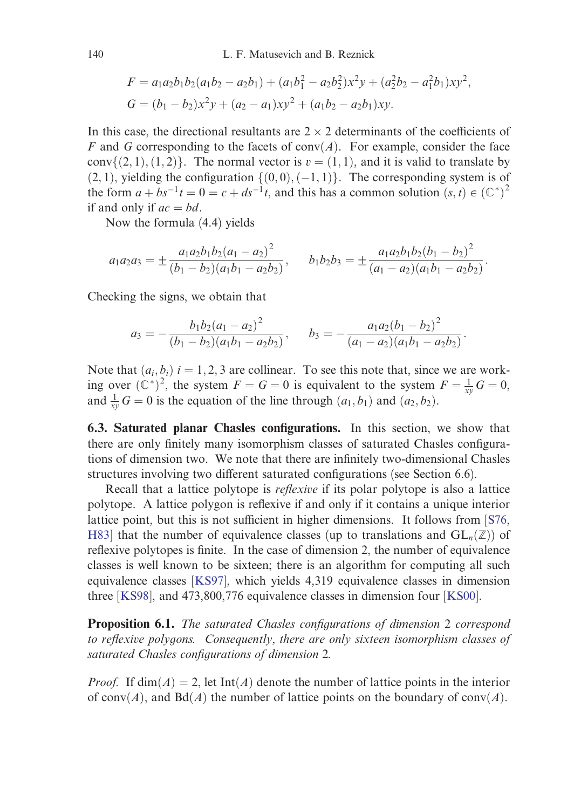$$
F = a_1 a_2 b_1 b_2 (a_1 b_2 - a_2 b_1) + (a_1 b_1^2 - a_2 b_2^2) x^2 y + (a_2^2 b_2 - a_1^2 b_1) x y^2,
$$
  
\n
$$
G = (b_1 - b_2) x^2 y + (a_2 - a_1) x y^2 + (a_1 b_2 - a_2 b_1) x y.
$$

In this case, the directional resultants are  $2 \times 2$  determinants of the coefficients of F and G corresponding to the facets of conv $(A)$ . For example, consider the face conv $\{(2, 1), (1, 2)\}\$ . The normal vector is  $v = (1, 1)$ , and it is valid to translate by  $(2, 1)$ , yielding the configuration  $\{(0, 0), (-1, 1)\}\$ . The corresponding system is of the form  $a + bs^{-1}t = 0 = c + ds^{-1}t$ , and this has a common solution  $(s, t) \in (\mathbb{C}^*)^2$ if and only if  $ac = bd$ .

Now the formula (4.4) yields

$$
a_1 a_2 a_3 = \pm \frac{a_1 a_2 b_1 b_2 (a_1 - a_2)^2}{(b_1 - b_2)(a_1 b_1 - a_2 b_2)}, \quad b_1 b_2 b_3 = \pm \frac{a_1 a_2 b_1 b_2 (b_1 - b_2)^2}{(a_1 - a_2)(a_1 b_1 - a_2 b_2)}
$$

:

:

Checking the signs, we obtain that

$$
a_3 = -\frac{b_1b_2(a_1 - a_2)^2}{(b_1 - b_2)(a_1b_1 - a_2b_2)}, \qquad b_3 = -\frac{a_1a_2(b_1 - b_2)^2}{(a_1 - a_2)(a_1b_1 - a_2b_2)}
$$

Note that  $(a_i, b_i)$   $i = 1, 2, 3$  are collinear. To see this note that, since we are working over  $(\mathbb{C}^*)^2$ , the system  $F = G = 0$  is equivalent to the system  $F = \frac{1}{xy}G = 0$ , [and](#page-16-0)  $\frac{1}{xy}G = 0$  is the equation of the line through  $(a_1, b_1)$  and  $(a_2, b_2)$ .

6.3. Saturated planar Chasles configurations. In this section, we show that there are only finitel[y man](#page-17-0)y isomorphism classes of saturated Chasles configurations [of dim](#page-17-0)ension two. We note that there are infinitely two-dimensi[onal C](#page-17-0)hasles structures involving two different saturated configurations (see Section 6.6).

Recall that a lattice polytope is reflexive if its polar polytope is also a lattice polytope. A lattice polygon is reflexive if and only if it contains a unique interior lattice point, but this is not sufficient in higher dimensions. It follows from  $[S76$ , H83] that the number of equivalence classes (up to translations and  $GL_n(\mathbb{Z})$ ) of reflexive polytopes is finite. In the case of dimension 2, the number of equivalence classes is well known to be sixteen; there is an algorithm for computing all such equivalence classes [KS97], which yields 4,319 equivalence classes in dimension three [KS98], and 473,800,776 equivalence classes in dimension four [KS00].

**Proposition 6.1.** The saturated Chasles configurations of dimension 2 correspond to reflexive polygons. Consequently, there are only sixteen isomorphism classes of saturated Chasles configurations of dimension 2.

*Proof.* If  $\dim(A) = 2$ , let Int $(A)$  denote the number of lattice points in the interior of conv $(A)$ , and  $Bd(A)$  the number of lattice points on the boundary of conv $(A)$ .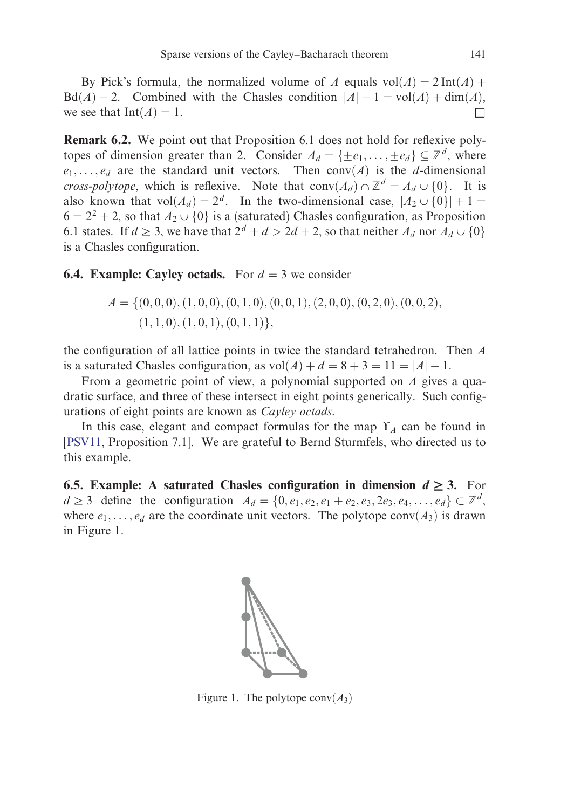By Pick's formula, the normalized volume of A equals  $vol(A) = 2 Int(A) +$  $Bd(A) - 2$ . Combined with the Chasles condition  $|A| + 1 = vol(A) + dim(A)$ , we see that  $\text{Int}(A) = 1$ .

Remark 6.2. We point out that Proposition 6.1 does not hold for reflexive polytopes of dimension greater than 2. Consider  $A_d = \{\pm e_1, \dots, \pm e_d\} \subseteq \mathbb{Z}^d$ , where  $e_1, \ldots, e_d$  are the standard unit vectors. Then conv $(A)$  is the d-dimensional cross-polytope, which is reflexive. Note that  $conv(A_d) \cap \mathbb{Z}^d = A_d \cup \{0\}$ . It is also known that  $vol(A_d) = 2^d$ . In the two-dimensional case,  $|A_2 \cup \{0\}| + 1 =$  $6 = 2^2 + 2$ , so that  $A_2 \cup \{0\}$  is a (saturated) Chasles configuration, as Proposition 6.1 states. If  $d \geq 3$ , we have that  $2^d + d > 2d + 2$ , so that neither  $A_d$  nor  $A_d \cup \{0\}$ is a Chasles configuration.

### **6.4. Example: Cayley octads.** For  $d = 3$  we consider

$$
A = \{ (0,0,0), (1,0,0), (0,1,0), (0,0,1), (2,0,0), (0,2,0), (0,0,2), (1,1,0), (1,0,1), (0,1,1) \},
$$

the configuration of all lattice points in twice the standard tetrahedron. Then A is a saturated Chasles configuration, as  $vol(A) + d = 8 + 3 = 11 = |A| + 1$ .

From a geometric point of view, a polynomial supported on A gives a quadratic surface, and three of these intersect in eight points generically. Such configurations of eight points are known as Cayley octads.

In this case, elegant and compact formulas for the map  $\Upsilon_A$  can be found in [PSV11, Proposition 7.1]. We are grateful to Bernd Sturmfels, who directed us to this example.

**6.5. Example:** A saturated Chasles configuration in dimension  $d \geq 3$ . For  $d \geq 3$  define the configuration  $A_d = \{0, e_1, e_2, e_1 + e_2, e_3, 2e_3, e_4, \ldots, e_d\} \subset \mathbb{Z}^d$ , where  $e_1, \ldots, e_d$  are the coordinate unit vectors. The polytope conv $(A_3)$  is drawn in Figure 1.



Figure 1. The polytope  $conv(A_3)$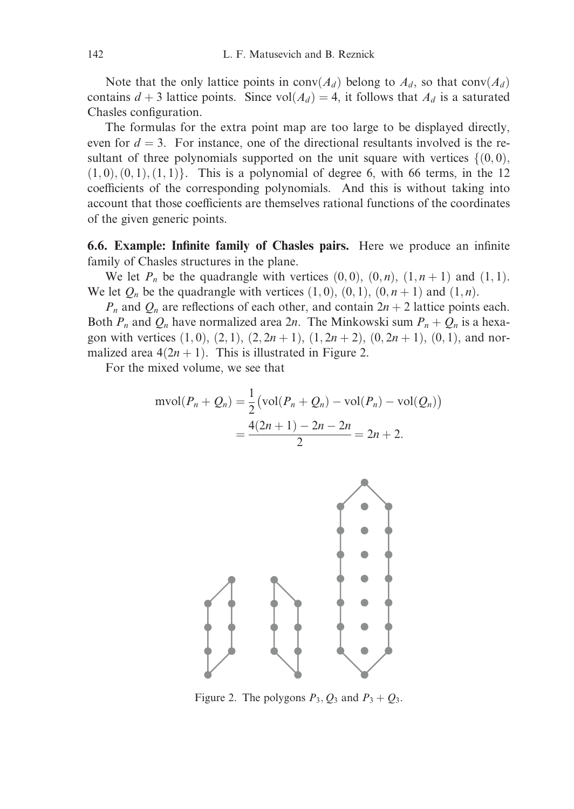Note that the only lattice points in  $conv(A_d)$  belong to  $A_d$ , so that  $conv(A_d)$ contains  $d + 3$  lattice points. Since vol $(A_d) = 4$ , it follows that  $A_d$  is a saturated Chasles configuration.

The formulas for the extra point map are too large to be displayed directly, even for  $d = 3$ . For instance, one of the directional resultants involved is the resultant of three polynomials supported on the unit square with vertices  $\{(0,0),\}$  $(1, 0), (0, 1), (1, 1)$ . This is a polynomial of degree 6, with 66 terms, in the 12 coefficients of the corresponding polynomials. And this is without taking into account that those coefficients are themselves rational functions of the coordinates of the given generic points.

6.6. Example: Infinite family of Chasles pairs. Here we produce an infinite family of Chasles structures in the plane.

We let  $P_n$  be the quadrangle with vertices  $(0,0)$ ,  $(0,n)$ ,  $(1,n+1)$  and  $(1,1)$ . We let  $Q_n$  be the quadrangle with vertices  $(1, 0), (0, 1), (0, n + 1)$  and  $(1, n)$ .

 $P_n$  and  $Q_n$  are reflections of each other, and contain  $2n + 2$  lattice points each. Both  $P_n$  and  $Q_n$  have normalized area 2n. The Minkowski sum  $P_n + Q_n$  is a hexagon with vertices  $(1, 0), (2, 1), (2, 2n + 1), (1, 2n + 2), (0, 2n + 1), (0, 1)$ , and normalized area  $4(2n + 1)$ . This is illustrated in Figure 2.

For the mixed volume, we see that

$$
\text{mvol}(P_n + Q_n) = \frac{1}{2} \left( \text{vol}(P_n + Q_n) - \text{vol}(P_n) - \text{vol}(Q_n) \right)
$$

$$
= \frac{4(2n+1) - 2n - 2n}{2} = 2n + 2.
$$



Figure 2. The polygons  $P_3$ ,  $Q_3$  and  $P_3 + Q_3$ .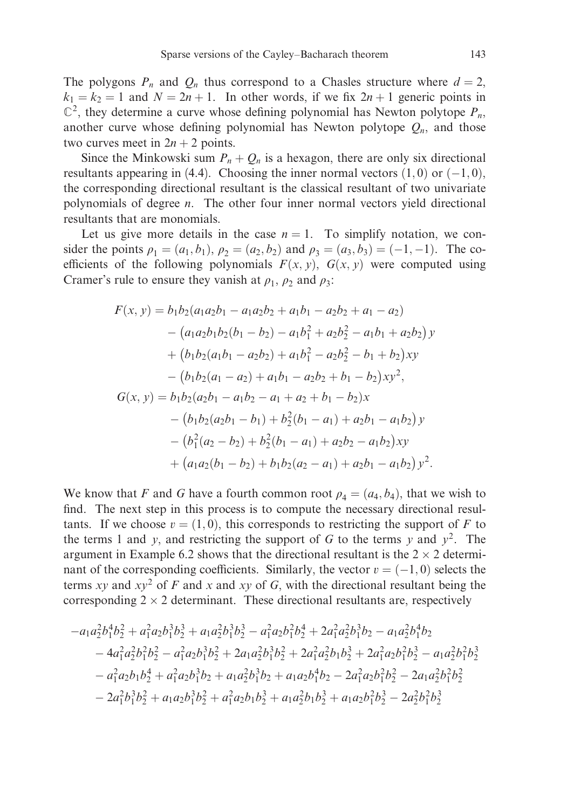The polygons  $P_n$  and  $Q_n$  thus correspond to a Chasles structure where  $d = 2$ ,  $k_1 = k_2 = 1$  and  $N = 2n + 1$ . In other words, if we fix  $2n + 1$  generic points in  $\mathbb{C}^2$ , they determine a curve whose defining polynomial has Newton polytope  $P_n$ , another curve whose defining polynomial has Newton polytope  $Q_n$ , and those two curves meet in  $2n + 2$  points.

Since the Minkowski sum  $P_n + Q_n$  is a hexagon, there are only six directional resultants appearing in (4.4). Choosing the inner normal vectors  $(1,0)$  or  $(-1,0)$ , the corresponding directional resultant is the classical resultant of two univariate polynomials of degree n. The other four inner normal vectors yield directional resultants that are monomials.

Let us give more details in the case  $n = 1$ . To simplify notation, we consider the points  $\rho_1 = (a_1, b_1), \rho_2 = (a_2, b_2)$  and  $\rho_3 = (a_3, b_3) = (-1, -1)$ . The coefficients of the following polynomials  $F(x, y)$ ,  $G(x, y)$  were computed using Cramer's rule to ensure they vanish at  $\rho_1$ ,  $\rho_2$  and  $\rho_3$ :

$$
F(x, y) = b_1b_2(a_1a_2b_1 - a_1a_2b_2 + a_1b_1 - a_2b_2 + a_1 - a_2)
$$
  
\n
$$
- (a_1a_2b_1b_2(b_1 - b_2) - a_1b_1^2 + a_2b_2^2 - a_1b_1 + a_2b_2)y
$$
  
\n
$$
+ (b_1b_2(a_1b_1 - a_2b_2) + a_1b_1^2 - a_2b_2^2 - b_1 + b_2)xy
$$
  
\n
$$
- (b_1b_2(a_1 - a_2) + a_1b_1 - a_2b_2 + b_1 - b_2)xy^2,
$$
  
\n
$$
G(x, y) = b_1b_2(a_2b_1 - a_1b_2 - a_1 + a_2 + b_1 - b_2)x
$$
  
\n
$$
- (b_1b_2(a_2b_1 - b_1) + b_2^2(b_1 - a_1) + a_2b_1 - a_1b_2)y
$$
  
\n
$$
- (b_1^2(a_2 - b_2) + b_2^2(b_1 - a_1) + a_2b_2 - a_1b_2)xy
$$
  
\n
$$
+ (a_1a_2(b_1 - b_2) + b_1b_2(a_2 - a_1) + a_2b_1 - a_1b_2)y^2.
$$

We know that F and G have a fourth common root  $\rho_4 = (a_4, b_4)$ , that we wish to find. The next step in this process is to compute the necessary directional resultants. If we choose  $v = (1, 0)$ , this corresponds to restricting the support of F to the terms 1 and y, and restricting the support of G to the terms y and  $y^2$ . The argument in Example 6.2 shows that the directional resultant is the  $2 \times 2$  determinant of the corresponding coefficients. Similarly, the vector  $v = (-1, 0)$  selects the terms xy and  $xy^2$  of F and x and xy of G, with the directional resultant being the corresponding  $2 \times 2$  determinant. These directional resultants are, respectively

$$
-a_1a_2^2b_1^4b_2^2 + a_1^2a_2b_1^3b_2^3 + a_1a_2^2b_1^3b_2^3 - a_1^2a_2b_1^2b_2^4 + 2a_1^2a_2^2b_1^3b_2 - a_1a_2^2b_1^4b_2
$$
  
\n
$$
-4a_1^2a_2^2b_1^2b_2^2 - a_1^2a_2b_1^3b_2^2 + 2a_1a_2^2b_1^3b_2^2 + 2a_1^2a_2^2b_1b_2^3 + 2a_1^2a_2b_1^2b_2^3 - a_1a_2^2b_1^2b_2^3
$$
  
\n
$$
-a_1^2a_2b_1b_2^4 + a_1^2a_2b_1^3b_2 + a_1a_2^2b_1^3b_2 + a_1a_2b_1^4b_2 - 2a_1^2a_2b_1^2b_2^2 - 2a_1a_2^2b_1^2b_2^2
$$
  
\n
$$
-2a_1^2b_1^3b_2^2 + a_1a_2b_1^3b_2^2 + a_1^2a_2b_1b_2^3 + a_1a_2^2b_1b_2^3 + a_1a_2b_1^2b_2^3 - 2a_2^2b_1^2b_2^3
$$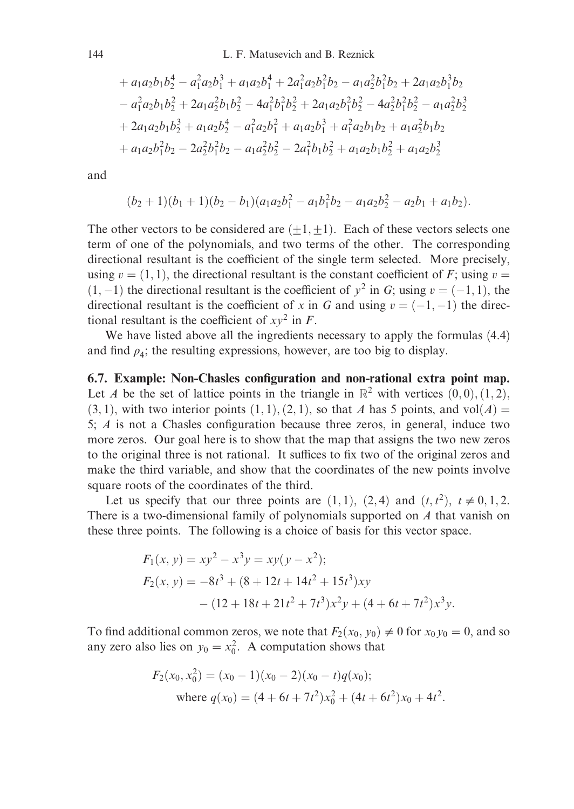$$
+ a_1a_2b_1b_2^4 - a_1^2a_2b_1^3 + a_1a_2b_1^4 + 2a_1^2a_2b_1^2b_2 - a_1a_2^2b_1^2b_2 + 2a_1a_2b_1^3b_2
$$
  
\n
$$
- a_1^2a_2b_1b_2^2 + 2a_1a_2^2b_1b_2^2 - 4a_1^2b_1^2b_2^2 + 2a_1a_2b_1^2b_2^2 - 4a_2^2b_1^2b_2^2 - a_1a_2^2b_2^3
$$
  
\n
$$
+ 2a_1a_2b_1b_2^3 + a_1a_2b_2^4 - a_1^2a_2b_1^2 + a_1a_2b_1^3 + a_1^2a_2b_1b_2 + a_1a_2^2b_1b_2
$$
  
\n
$$
+ a_1a_2b_1^2b_2 - 2a_2^2b_1^2b_2 - a_1a_2^2b_2^2 - 2a_1^2b_1b_2^2 + a_1a_2b_1b_2^2 + a_1a_2b_2^3
$$

and

$$
(b_2+1)(b_1+1)(b_2-b_1)(a_1a_2b_1^2-a_1b_1^2b_2-a_1a_2b_2^2-a_2b_1+a_1b_2).
$$

The other vectors to be considered are  $(\pm 1, \pm 1)$ . Each of these vectors selects one term of one of the polynomials, and two terms of the other. The corresponding directional resultant is the coefficient of the single term selected. More precisely, using  $v = (1, 1)$ , the directional resultant is the constant coefficient of F; using  $v =$  $(1, -1)$  the directional resultant is the coefficient of  $y^2$  in G; using  $v = (-1, 1)$ , the directional resultant is the coefficient of x in G and using  $v = (-1, -1)$  the directional resultant is the coefficient of  $xy^2$  in F.

We have listed above all the ingredients necessary to apply the formulas (4.4) and find  $\rho_4$ ; the resulting expressions, however, are too big to display.

6.7. Example: Non-Chasles configuration and non-rational extra point map. Let A be the set of lattice points in the triangle in  $\mathbb{R}^2$  with vertices  $(0,0), (1,2),$  $(3, 1)$ , with two interior points  $(1, 1), (2, 1)$ , so that A has 5 points, and vol $(A)$  = 5; A is not a Chasles configuration because three zeros, in general, induce two more zeros. Our goal here is to show that the map that assigns the two new zeros to the original three is not rational. It suffices to fix two of the original zeros and make the third variable, and show that the coordinates of the new points involve square roots of the coordinates of the third.

Let us specify that our three points are  $(1, 1)$ ,  $(2, 4)$  and  $(t, t^2)$ ,  $t \neq 0, 1, 2$ . There is a two-dimensional family of polynomials supported on A that vanish on these three points. The following is a choice of basis for this vector space.

$$
F_1(x, y) = xy^2 - x^3y = xy(y - x^2);
$$
  
\n
$$
F_2(x, y) = -8t^3 + (8 + 12t + 14t^2 + 15t^3)xy
$$
  
\n
$$
- (12 + 18t + 21t^2 + 7t^3)x^2y + (4 + 6t + 7t^2)x^3y.
$$

To find additional common zeros, we note that  $F_2(x_0, y_0) \neq 0$  for  $x_0 y_0 = 0$ , and so any zero also lies on  $y_0 = x_0^2$ . A computation shows that

$$
F_2(x_0, x_0^2) = (x_0 - 1)(x_0 - 2)(x_0 - t)q(x_0);
$$
  
where  $q(x_0) = (4 + 6t + 7t^2)x_0^2 + (4t + 6t^2)x_0 + 4t^2$ .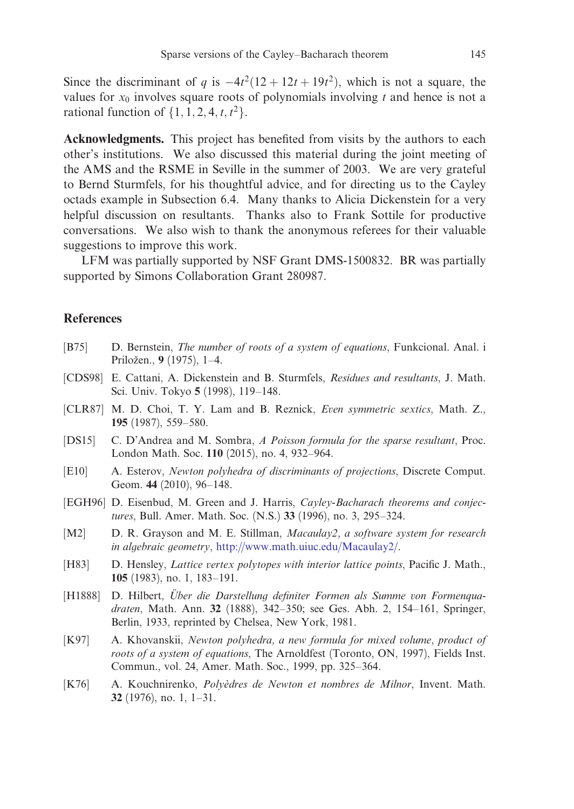<span id="page-16-0"></span>Since the discriminant of q is  $-4t^2(12 + 12t + 19t^2)$ , which is not a square, the values for  $x_0$  involves square roots of polynomials involving t and hence is not a rational function of  $\{1, 1, 2, 4, t, t^2\}$ .

Acknowledgments. This project has benefited from visits by the authors to each other's institutions. We also discussed this material during the joint meeting of the AMS and the RSME in Seville in the summer of 2003. We are very grateful to Bernd Sturmfels, for his thoughtful advice, and for directing us to the Cayley octads example in Subsection 6.4. Many thanks to Alicia Dickenstein for a very helpful discussion on resultants. Thanks also to Frank Sottile for productive conversations. We also wish to thank the anonymous referees for their valuable suggestions to improve this work.

LFM was partially supported by NSF Grant DMS-1500832. BR was partially supported by Simons Collaboration Grant 280987.

# **References**

- [B75] D. Bernstein, *The number of roots of a system of equations*, Funkcional. Anal. i Priložen., 9 (1975), 1-4.
- [CDS98] E. Cattani, A. Dickenstein and B. Sturmfels, Residues and resultants, J. Math. Sci. Univ. Tokyo 5 (1998), 119–148.
- [CLR87] M. D. Choi, T. Y. [Lam and B. Reznick,](http://www.math.uiuc.edu/Macaulay2/) Even symmetric sextics, Math. Z., 195 (1987), 559–580.
- [DS15] C. D'Andrea and M. Sombra, A Poisson formula for the sparse resultant, Proc. London Math. Soc. 110 (2015), no. 4, 932–964.
- [E10] A. Esterov, Newton polyhedra of discriminants of projections, Discrete Comput. Geom. 44 (2010), 96–148.
- [EGH96] D. Eisenbud, M. Green and J. Harris, Cayley-Bacharach theorems and conjectures, Bull. Amer. Math. Soc. (N.S.) 33 (1996), no. 3, 295–324.
- [M2] D. R. Grayson and M. E. Stillman, Macaulay2, a software system for research in algebraic geometry, http://www.math.uiuc.edu/Macaulay2/.
- [H83] D. Hensley, *Lattice vertex polytopes with interior lattice points*, Pacific J. Math., 105 (1983), no. 1, 183–191.
- [H1888] D. Hilbert, Über die Darstellung definiter Formen als Summe von Formenguadraten, Math. Ann. 32 (1888), 342–350; see Ges. Abh. 2, 154–161, Springer, Berlin, 1933, reprinted by Chelsea, New York, 1981.
- [K97] A. Khovanskii, Newton polyhedra, a new formula for mixed volume, product of roots of a system of equations, The Arnoldfest (Toronto, ON, 1997), Fields Inst. Commun., vol. 24, Amer. Math. Soc., 1999, pp. 325–364.
- [K76] A. Kouchnirenko, Polyèdres de Newton et nombres de Milnor, Invent. Math. 32 (1976), no. 1, 1–31.